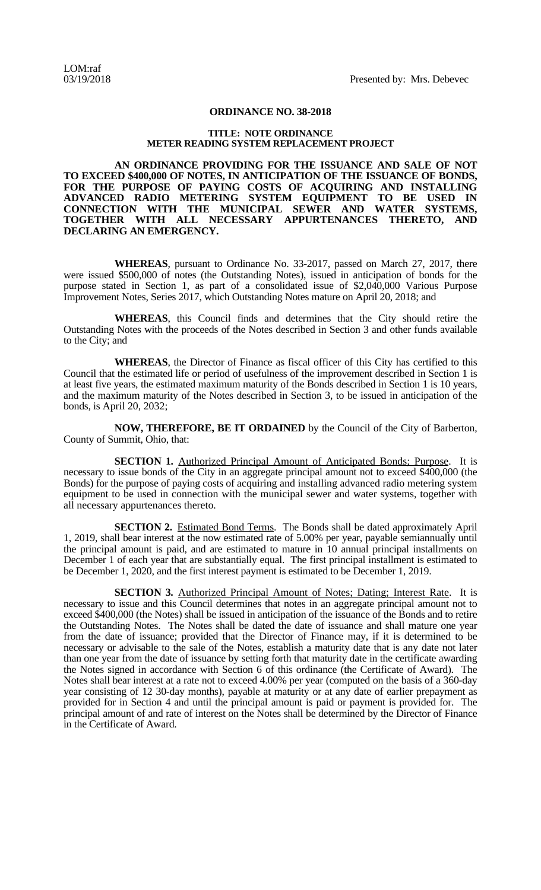## **ORDINANCE NO. 38-2018**

## **TITLE: NOTE ORDINANCE METER READING SYSTEM REPLACEMENT PROJECT**

**AN ORDINANCE PROVIDING FOR THE ISSUANCE AND SALE OF NOT TO EXCEED \$400,000 OF NOTES, IN ANTICIPATION OF THE ISSUANCE OF BONDS, FOR THE PURPOSE OF PAYING COSTS OF ACQUIRING AND INSTALLING ADVANCED RADIO METERING SYSTEM EQUIPMENT TO BE USED IN CONNECTION WITH THE MUNICIPAL SEWER AND WATER SYSTEMS, TOGETHER WITH ALL NECESSARY APPURTENANCES THERETO, AND DECLARING AN EMERGENCY.**

**WHEREAS**, pursuant to Ordinance No. 33-2017, passed on March 27, 2017, there were issued \$500,000 of notes (the Outstanding Notes), issued in anticipation of bonds for the purpose stated in Section 1, as part of a consolidated issue of \$2,040,000 Various Purpose Improvement Notes, Series 2017, which Outstanding Notes mature on April 20, 2018; and

**WHEREAS**, this Council finds and determines that the City should retire the Outstanding Notes with the proceeds of the Notes described in Section 3 and other funds available to the City; and

**WHEREAS**, the Director of Finance as fiscal officer of this City has certified to this Council that the estimated life or period of usefulness of the improvement described in Section 1 is at least five years, the estimated maximum maturity of the Bonds described in Section 1 is 10 years, and the maximum maturity of the Notes described in Section 3, to be issued in anticipation of the bonds, is April 20, 2032;

**NOW, THEREFORE, BE IT ORDAINED** by the Council of the City of Barberton, County of Summit, Ohio, that:

**SECTION 1.** Authorized Principal Amount of Anticipated Bonds; Purpose. It is necessary to issue bonds of the City in an aggregate principal amount not to exceed \$400,000 (the Bonds) for the purpose of paying costs of acquiring and installing advanced radio metering system equipment to be used in connection with the municipal sewer and water systems, together with all necessary appurtenances thereto.

**SECTION 2.** Estimated Bond Terms. The Bonds shall be dated approximately April 1, 2019, shall bear interest at the now estimated rate of 5.00% per year, payable semiannually until the principal amount is paid, and are estimated to mature in 10 annual principal installments on December 1 of each year that are substantially equal. The first principal installment is estimated to be December 1, 2020, and the first interest payment is estimated to be December 1, 2019.

**SECTION 3.** Authorized Principal Amount of Notes; Dating; Interest Rate. It is necessary to issue and this Council determines that notes in an aggregate principal amount not to exceed \$400,000 (the Notes) shall be issued in anticipation of the issuance of the Bonds and to retire the Outstanding Notes. The Notes shall be dated the date of issuance and shall mature one year from the date of issuance; provided that the Director of Finance may, if it is determined to be necessary or advisable to the sale of the Notes, establish a maturity date that is any date not later than one year from the date of issuance by setting forth that maturity date in the certificate awarding the Notes signed in accordance with Section 6 of this ordinance (the Certificate of Award). The Notes shall bear interest at a rate not to exceed 4.00% per year (computed on the basis of a 360-day year consisting of 12 30-day months), payable at maturity or at any date of earlier prepayment as provided for in Section 4 and until the principal amount is paid or payment is provided for. The principal amount of and rate of interest on the Notes shall be determined by the Director of Finance in the Certificate of Award.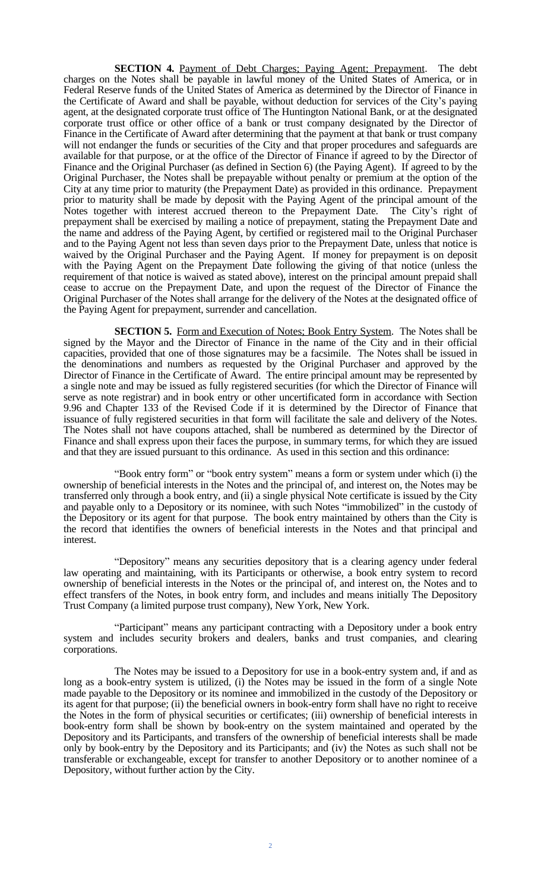**SECTION 4.** Payment of Debt Charges; Paying Agent; Prepayment. The debt charges on the Notes shall be payable in lawful money of the United States of America, or in Federal Reserve funds of the United States of America as determined by the Director of Finance in the Certificate of Award and shall be payable, without deduction for services of the City's paying agent, at the designated corporate trust office of The Huntington National Bank, or at the designated corporate trust office or other office of a bank or trust company designated by the Director of Finance in the Certificate of Award after determining that the payment at that bank or trust company will not endanger the funds or securities of the City and that proper procedures and safeguards are available for that purpose, or at the office of the Director of Finance if agreed to by the Director of Finance and the Original Purchaser (as defined in Section 6) (the Paying Agent). If agreed to by the Original Purchaser, the Notes shall be prepayable without penalty or premium at the option of the City at any time prior to maturity (the Prepayment Date) as provided in this ordinance. Prepayment prior to maturity shall be made by deposit with the Paying Agent of the principal amount of the Notes together with interest accrued thereon to the Prepayment Date. The City's right of prepayment shall be exercised by mailing a notice of prepayment, stating the Prepayment Date and the name and address of the Paying Agent, by certified or registered mail to the Original Purchaser and to the Paying Agent not less than seven days prior to the Prepayment Date, unless that notice is waived by the Original Purchaser and the Paying Agent. If money for prepayment is on deposit with the Paying Agent on the Prepayment Date following the giving of that notice (unless the requirement of that notice is waived as stated above), interest on the principal amount prepaid shall cease to accrue on the Prepayment Date, and upon the request of the Director of Finance the Original Purchaser of the Notes shall arrange for the delivery of the Notes at the designated office of the Paying Agent for prepayment, surrender and cancellation.

**SECTION 5.** Form and Execution of Notes; Book Entry System. The Notes shall be signed by the Mayor and the Director of Finance in the name of the City and in their official capacities, provided that one of those signatures may be a facsimile. The Notes shall be issued in the denominations and numbers as requested by the Original Purchaser and approved by the Director of Finance in the Certificate of Award. The entire principal amount may be represented by a single note and may be issued as fully registered securities (for which the Director of Finance will serve as note registrar) and in book entry or other uncertificated form in accordance with Section 9.96 and Chapter 133 of the Revised Code if it is determined by the Director of Finance that issuance of fully registered securities in that form will facilitate the sale and delivery of the Notes. The Notes shall not have coupons attached, shall be numbered as determined by the Director of Finance and shall express upon their faces the purpose, in summary terms, for which they are issued and that they are issued pursuant to this ordinance. As used in this section and this ordinance:

"Book entry form" or "book entry system" means a form or system under which (i) the ownership of beneficial interests in the Notes and the principal of, and interest on, the Notes may be transferred only through a book entry, and (ii) a single physical Note certificate is issued by the City and payable only to a Depository or its nominee, with such Notes "immobilized" in the custody of the Depository or its agent for that purpose. The book entry maintained by others than the City is the record that identifies the owners of beneficial interests in the Notes and that principal and interest.

"Depository" means any securities depository that is a clearing agency under federal law operating and maintaining, with its Participants or otherwise, a book entry system to record ownership of beneficial interests in the Notes or the principal of, and interest on, the Notes and to effect transfers of the Notes, in book entry form, and includes and means initially The Depository Trust Company (a limited purpose trust company), New York, New York.

"Participant" means any participant contracting with a Depository under a book entry system and includes security brokers and dealers, banks and trust companies, and clearing corporations.

The Notes may be issued to a Depository for use in a book-entry system and, if and as long as a book-entry system is utilized, (i) the Notes may be issued in the form of a single Note made payable to the Depository or its nominee and immobilized in the custody of the Depository or its agent for that purpose; (ii) the beneficial owners in book-entry form shall have no right to receive the Notes in the form of physical securities or certificates; (iii) ownership of beneficial interests in book-entry form shall be shown by book-entry on the system maintained and operated by the Depository and its Participants, and transfers of the ownership of beneficial interests shall be made only by book-entry by the Depository and its Participants; and (iv) the Notes as such shall not be transferable or exchangeable, except for transfer to another Depository or to another nominee of a Depository, without further action by the City.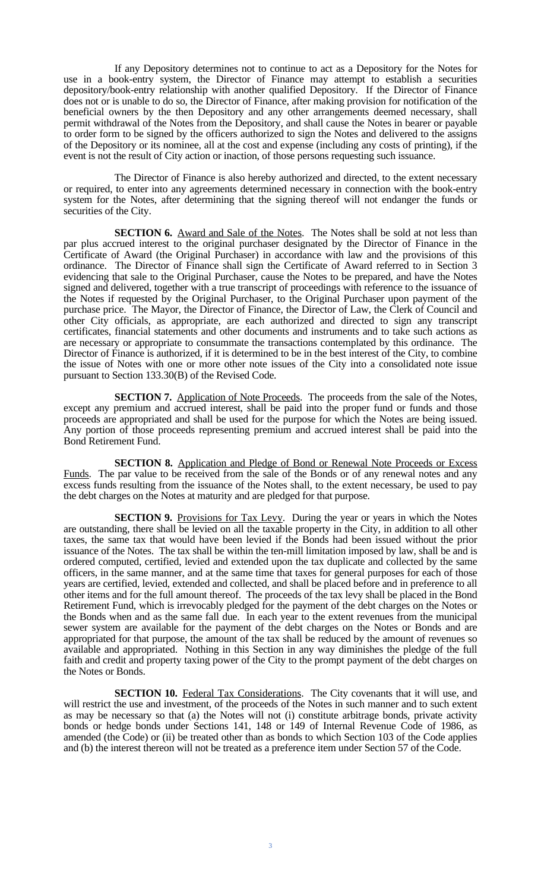If any Depository determines not to continue to act as a Depository for the Notes for use in a book-entry system, the Director of Finance may attempt to establish a securities depository/book-entry relationship with another qualified Depository. If the Director of Finance does not or is unable to do so, the Director of Finance, after making provision for notification of the beneficial owners by the then Depository and any other arrangements deemed necessary, shall permit withdrawal of the Notes from the Depository, and shall cause the Notes in bearer or payable to order form to be signed by the officers authorized to sign the Notes and delivered to the assigns of the Depository or its nominee, all at the cost and expense (including any costs of printing), if the event is not the result of City action or inaction, of those persons requesting such issuance.

The Director of Finance is also hereby authorized and directed, to the extent necessary or required, to enter into any agreements determined necessary in connection with the book-entry system for the Notes, after determining that the signing thereof will not endanger the funds or securities of the City.

**SECTION 6.** Award and Sale of the Notes. The Notes shall be sold at not less than par plus accrued interest to the original purchaser designated by the Director of Finance in the Certificate of Award (the Original Purchaser) in accordance with law and the provisions of this ordinance. The Director of Finance shall sign the Certificate of Award referred to in Section 3 evidencing that sale to the Original Purchaser, cause the Notes to be prepared, and have the Notes signed and delivered, together with a true transcript of proceedings with reference to the issuance of the Notes if requested by the Original Purchaser, to the Original Purchaser upon payment of the purchase price. The Mayor, the Director of Finance, the Director of Law, the Clerk of Council and other City officials, as appropriate, are each authorized and directed to sign any transcript certificates, financial statements and other documents and instruments and to take such actions as are necessary or appropriate to consummate the transactions contemplated by this ordinance. The Director of Finance is authorized, if it is determined to be in the best interest of the City, to combine the issue of Notes with one or more other note issues of the City into a consolidated note issue pursuant to Section 133.30(B) of the Revised Code.

**SECTION 7.** Application of Note Proceeds. The proceeds from the sale of the Notes, except any premium and accrued interest, shall be paid into the proper fund or funds and those proceeds are appropriated and shall be used for the purpose for which the Notes are being issued. Any portion of those proceeds representing premium and accrued interest shall be paid into the Bond Retirement Fund.

**SECTION 8.** Application and Pledge of Bond or Renewal Note Proceeds or Excess Funds. The par value to be received from the sale of the Bonds or of any renewal notes and any excess funds resulting from the issuance of the Notes shall, to the extent necessary, be used to pay the debt charges on the Notes at maturity and are pledged for that purpose.

**SECTION 9.** Provisions for Tax Levy. During the year or years in which the Notes are outstanding, there shall be levied on all the taxable property in the City, in addition to all other taxes, the same tax that would have been levied if the Bonds had been issued without the prior issuance of the Notes. The tax shall be within the ten-mill limitation imposed by law, shall be and is ordered computed, certified, levied and extended upon the tax duplicate and collected by the same officers, in the same manner, and at the same time that taxes for general purposes for each of those years are certified, levied, extended and collected, and shall be placed before and in preference to all other items and for the full amount thereof. The proceeds of the tax levy shall be placed in the Bond Retirement Fund, which is irrevocably pledged for the payment of the debt charges on the Notes or the Bonds when and as the same fall due. In each year to the extent revenues from the municipal sewer system are available for the payment of the debt charges on the Notes or Bonds and are appropriated for that purpose, the amount of the tax shall be reduced by the amount of revenues so available and appropriated. Nothing in this Section in any way diminishes the pledge of the full faith and credit and property taxing power of the City to the prompt payment of the debt charges on the Notes or Bonds.

**SECTION 10.** Federal Tax Considerations. The City covenants that it will use, and will restrict the use and investment, of the proceeds of the Notes in such manner and to such extent as may be necessary so that (a) the Notes will not (i) constitute arbitrage bonds, private activity bonds or hedge bonds under Sections 141, 148 or 149 of Internal Revenue Code of 1986, as amended (the Code) or (ii) be treated other than as bonds to which Section 103 of the Code applies and (b) the interest thereon will not be treated as a preference item under Section 57 of the Code.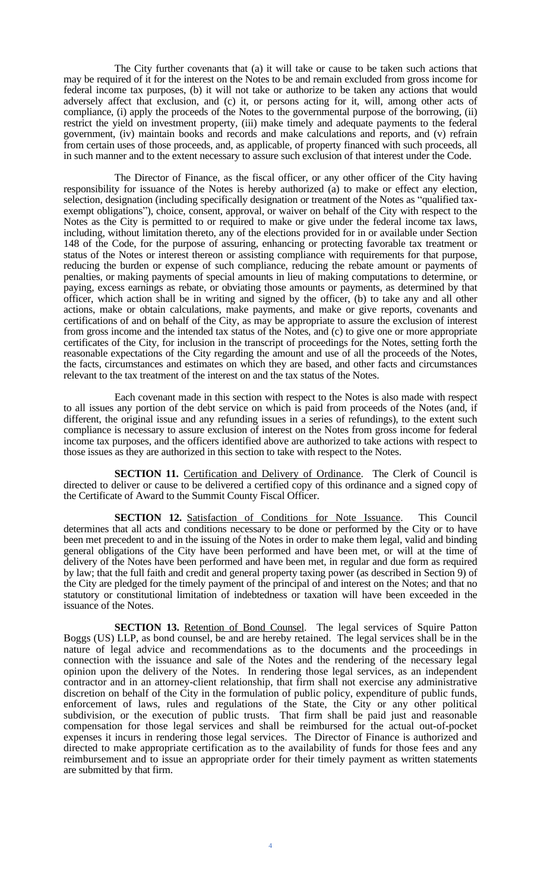The City further covenants that (a) it will take or cause to be taken such actions that may be required of it for the interest on the Notes to be and remain excluded from gross income for federal income tax purposes, (b) it will not take or authorize to be taken any actions that would adversely affect that exclusion, and (c) it, or persons acting for it, will, among other acts of compliance, (i) apply the proceeds of the Notes to the governmental purpose of the borrowing, (ii) restrict the yield on investment property, (iii) make timely and adequate payments to the federal government, (iv) maintain books and records and make calculations and reports, and (v) refrain from certain uses of those proceeds, and, as applicable, of property financed with such proceeds, all in such manner and to the extent necessary to assure such exclusion of that interest under the Code.

The Director of Finance, as the fiscal officer, or any other officer of the City having responsibility for issuance of the Notes is hereby authorized (a) to make or effect any election, selection, designation (including specifically designation or treatment of the Notes as "qualified taxexempt obligations"), choice, consent, approval, or waiver on behalf of the City with respect to the Notes as the City is permitted to or required to make or give under the federal income tax laws, including, without limitation thereto, any of the elections provided for in or available under Section 148 of the Code, for the purpose of assuring, enhancing or protecting favorable tax treatment or status of the Notes or interest thereon or assisting compliance with requirements for that purpose, reducing the burden or expense of such compliance, reducing the rebate amount or payments of penalties, or making payments of special amounts in lieu of making computations to determine, or paying, excess earnings as rebate, or obviating those amounts or payments, as determined by that officer, which action shall be in writing and signed by the officer, (b) to take any and all other actions, make or obtain calculations, make payments, and make or give reports, covenants and certifications of and on behalf of the City, as may be appropriate to assure the exclusion of interest from gross income and the intended tax status of the Notes, and (c) to give one or more appropriate certificates of the City, for inclusion in the transcript of proceedings for the Notes, setting forth the reasonable expectations of the City regarding the amount and use of all the proceeds of the Notes, the facts, circumstances and estimates on which they are based, and other facts and circumstances relevant to the tax treatment of the interest on and the tax status of the Notes.

Each covenant made in this section with respect to the Notes is also made with respect to all issues any portion of the debt service on which is paid from proceeds of the Notes (and, if different, the original issue and any refunding issues in a series of refundings), to the extent such compliance is necessary to assure exclusion of interest on the Notes from gross income for federal income tax purposes, and the officers identified above are authorized to take actions with respect to those issues as they are authorized in this section to take with respect to the Notes.

**SECTION 11.** Certification and Delivery of Ordinance. The Clerk of Council is directed to deliver or cause to be delivered a certified copy of this ordinance and a signed copy of the Certificate of Award to the Summit County Fiscal Officer.

**SECTION 12.** Satisfaction of Conditions for Note Issuance. This Council determines that all acts and conditions necessary to be done or performed by the City or to have been met precedent to and in the issuing of the Notes in order to make them legal, valid and binding general obligations of the City have been performed and have been met, or will at the time of delivery of the Notes have been performed and have been met, in regular and due form as required by law; that the full faith and credit and general property taxing power (as described in Section 9) of the City are pledged for the timely payment of the principal of and interest on the Notes; and that no statutory or constitutional limitation of indebtedness or taxation will have been exceeded in the issuance of the Notes.

**SECTION 13.** Retention of Bond Counsel. The legal services of Squire Patton Boggs (US) LLP, as bond counsel, be and are hereby retained. The legal services shall be in the nature of legal advice and recommendations as to the documents and the proceedings in connection with the issuance and sale of the Notes and the rendering of the necessary legal opinion upon the delivery of the Notes. In rendering those legal services, as an independent contractor and in an attorney-client relationship, that firm shall not exercise any administrative discretion on behalf of the City in the formulation of public policy, expenditure of public funds, enforcement of laws, rules and regulations of the State, the City or any other political subdivision, or the execution of public trusts. That firm shall be paid just and reasonable compensation for those legal services and shall be reimbursed for the actual out-of-pocket expenses it incurs in rendering those legal services. The Director of Finance is authorized and directed to make appropriate certification as to the availability of funds for those fees and any reimbursement and to issue an appropriate order for their timely payment as written statements are submitted by that firm.